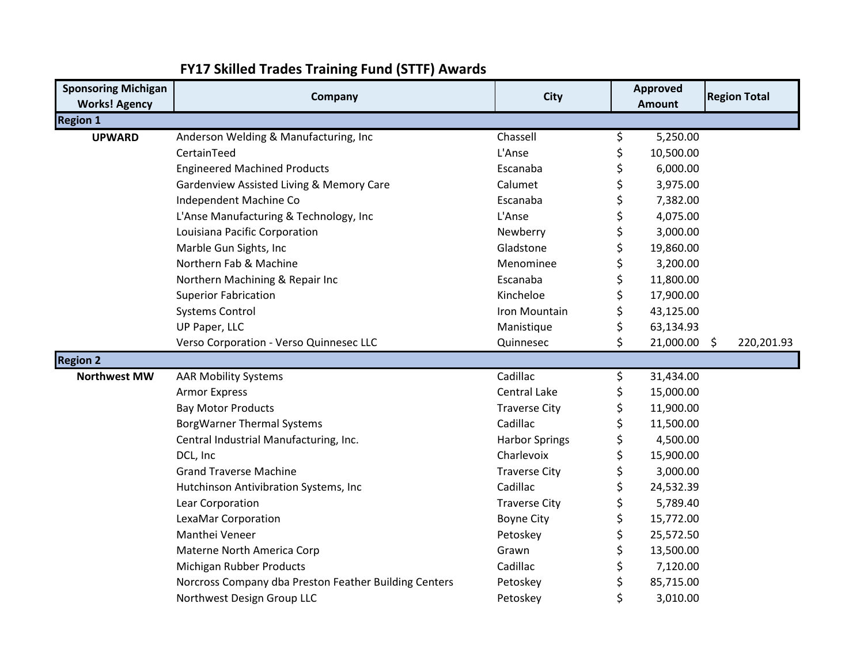| <b>Sponsoring Michigan</b>              | Company                                               | <b>City</b>                      | <b>Approved</b>    | <b>Region Total</b> |
|-----------------------------------------|-------------------------------------------------------|----------------------------------|--------------------|---------------------|
| <b>Works! Agency</b><br><b>Region 1</b> |                                                       |                                  | <b>Amount</b>      |                     |
| <b>UPWARD</b>                           | Anderson Welding & Manufacturing, Inc                 | Chassell                         | \$<br>5,250.00     |                     |
|                                         | CertainTeed                                           | L'Anse                           | \$<br>10,500.00    |                     |
|                                         | <b>Engineered Machined Products</b>                   | Escanaba                         | \$<br>6,000.00     |                     |
|                                         | Gardenview Assisted Living & Memory Care              | Calumet                          | \$<br>3,975.00     |                     |
|                                         | Independent Machine Co                                | Escanaba                         | \$<br>7,382.00     |                     |
|                                         | L'Anse Manufacturing & Technology, Inc                | L'Anse                           | \$<br>4,075.00     |                     |
|                                         | Louisiana Pacific Corporation                         | Newberry                         | \$<br>3,000.00     |                     |
|                                         | Marble Gun Sights, Inc                                | Gladstone                        | \$<br>19,860.00    |                     |
|                                         | Northern Fab & Machine                                | Menominee                        | \$<br>3,200.00     |                     |
|                                         | Northern Machining & Repair Inc                       | Escanaba                         | \$<br>11,800.00    |                     |
|                                         | <b>Superior Fabrication</b>                           | Kincheloe                        | \$<br>17,900.00    |                     |
|                                         | <b>Systems Control</b>                                | Iron Mountain                    | \$<br>43,125.00    |                     |
|                                         | UP Paper, LLC                                         | Manistique                       | \$<br>63,134.93    |                     |
|                                         | Verso Corporation - Verso Quinnesec LLC               | Quinnesec                        | \$<br>21,000.00 \$ | 220,201.93          |
| <b>Region 2</b>                         |                                                       |                                  |                    |                     |
| <b>Northwest MW</b>                     | <b>AAR Mobility Systems</b>                           | Cadillac                         | \$<br>31,434.00    |                     |
|                                         | <b>Armor Express</b>                                  | <b>Central Lake</b>              | \$<br>15,000.00    |                     |
|                                         | <b>Bay Motor Products</b>                             | <b>Traverse City</b>             | \$<br>11,900.00    |                     |
|                                         | <b>BorgWarner Thermal Systems</b>                     | Cadillac                         | \$<br>11,500.00    |                     |
|                                         | Central Industrial Manufacturing, Inc.                | <b>Harbor Springs</b>            | \$<br>4,500.00     |                     |
|                                         | DCL, Inc                                              | Charlevoix                       | \$<br>15,900.00    |                     |
|                                         | <b>Grand Traverse Machine</b>                         |                                  | 3,000.00           |                     |
|                                         |                                                       | <b>Traverse City</b><br>Cadillac | \$                 |                     |
|                                         | Hutchinson Antivibration Systems, Inc                 |                                  | \$<br>24,532.39    |                     |
|                                         | Lear Corporation                                      | <b>Traverse City</b>             | \$<br>5,789.40     |                     |
|                                         | LexaMar Corporation                                   | <b>Boyne City</b>                | \$<br>15,772.00    |                     |
|                                         | Manthei Veneer                                        | Petoskey                         | \$<br>25,572.50    |                     |
|                                         | Materne North America Corp                            | Grawn                            | \$<br>13,500.00    |                     |
|                                         | Michigan Rubber Products                              | Cadillac                         | 7,120.00           |                     |
|                                         | Norcross Company dba Preston Feather Building Centers | Petoskey                         | \$<br>85,715.00    |                     |
|                                         | Northwest Design Group LLC                            | Petoskey                         | \$<br>3,010.00     |                     |

## **FY17 Skilled Trades Training Fund (STTF) Awards**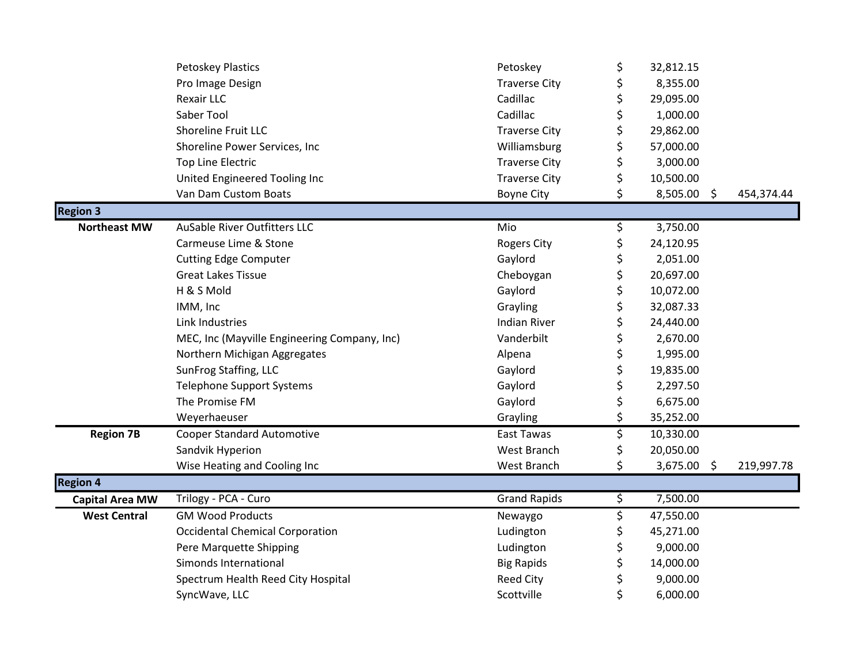|                        | <b>Petoskey Plastics</b>                     | Petoskey             | \$                     | 32,812.15     |            |
|------------------------|----------------------------------------------|----------------------|------------------------|---------------|------------|
|                        | Pro Image Design                             | <b>Traverse City</b> | \$                     | 8,355.00      |            |
|                        | <b>Rexair LLC</b>                            | Cadillac             | \$                     | 29,095.00     |            |
|                        | Saber Tool                                   | Cadillac             | \$                     | 1,000.00      |            |
|                        | Shoreline Fruit LLC                          | <b>Traverse City</b> | \$                     | 29,862.00     |            |
|                        | Shoreline Power Services, Inc                | Williamsburg         | \$                     | 57,000.00     |            |
|                        | <b>Top Line Electric</b>                     | <b>Traverse City</b> | \$                     | 3,000.00      |            |
|                        | United Engineered Tooling Inc                | <b>Traverse City</b> | \$                     | 10,500.00     |            |
|                        | Van Dam Custom Boats                         | <b>Boyne City</b>    | \$                     | $8,505.00$ \$ | 454,374.44 |
| <b>Region 3</b>        |                                              |                      |                        |               |            |
| <b>Northeast MW</b>    | <b>AuSable River Outfitters LLC</b>          | Mio                  | \$                     | 3,750.00      |            |
|                        | Carmeuse Lime & Stone                        | <b>Rogers City</b>   | \$                     | 24,120.95     |            |
|                        | <b>Cutting Edge Computer</b>                 | Gaylord              | \$                     | 2,051.00      |            |
|                        | <b>Great Lakes Tissue</b>                    | Cheboygan            | \$                     | 20,697.00     |            |
|                        | H & S Mold                                   | Gaylord              | \$                     | 10,072.00     |            |
|                        | IMM, Inc                                     | Grayling             | \$                     | 32,087.33     |            |
|                        | Link Industries                              | <b>Indian River</b>  | \$                     | 24,440.00     |            |
|                        | MEC, Inc (Mayville Engineering Company, Inc) | Vanderbilt           | \$                     | 2,670.00      |            |
|                        | Northern Michigan Aggregates                 | Alpena               | \$                     | 1,995.00      |            |
|                        | SunFrog Staffing, LLC                        | Gaylord              | \$                     | 19,835.00     |            |
|                        | <b>Telephone Support Systems</b>             | Gaylord              | \$                     | 2,297.50      |            |
|                        | The Promise FM                               | Gaylord              | \$                     | 6,675.00      |            |
|                        | Weyerhaeuser                                 | Grayling             | \$                     | 35,252.00     |            |
| <b>Region 7B</b>       | <b>Cooper Standard Automotive</b>            | East Tawas           | \$                     | 10,330.00     |            |
|                        | Sandvik Hyperion                             | West Branch          | \$                     | 20,050.00     |            |
|                        | Wise Heating and Cooling Inc                 | West Branch          | \$                     | 3,675.00 \$   | 219,997.78 |
| <b>Region 4</b>        |                                              |                      |                        |               |            |
| <b>Capital Area MW</b> | Trilogy - PCA - Curo                         | <b>Grand Rapids</b>  | $\overline{\varsigma}$ | 7,500.00      |            |
| <b>West Central</b>    | <b>GM Wood Products</b>                      | Newaygo              | \$                     | 47,550.00     |            |
|                        | <b>Occidental Chemical Corporation</b>       | Ludington            | \$                     | 45,271.00     |            |
|                        | Pere Marquette Shipping                      | Ludington            | \$                     | 9,000.00      |            |
|                        | Simonds International                        | <b>Big Rapids</b>    | \$                     | 14,000.00     |            |
|                        | Spectrum Health Reed City Hospital           | <b>Reed City</b>     | \$                     | 9,000.00      |            |
|                        | SyncWave, LLC                                | Scottville           | \$                     | 6,000.00      |            |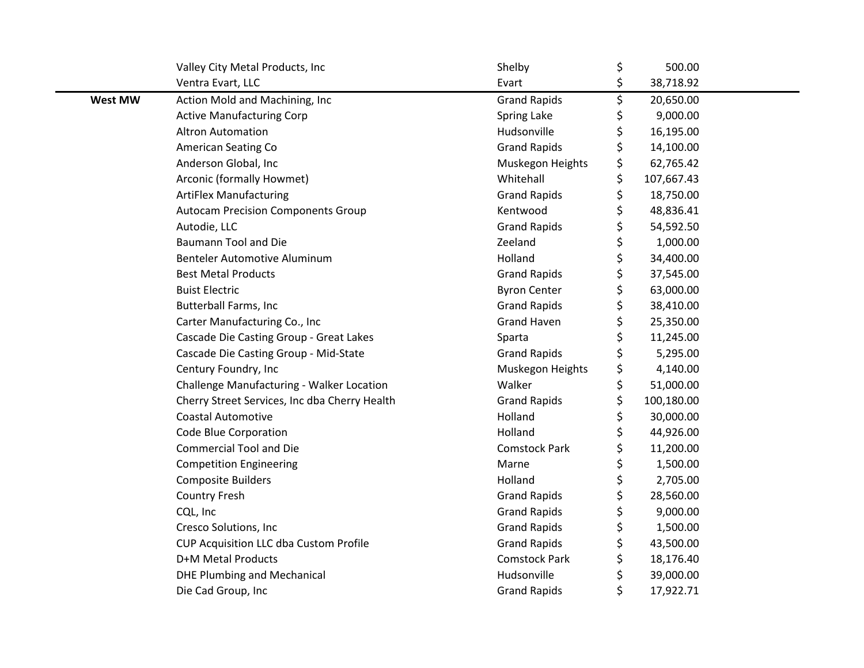|                | Valley City Metal Products, Inc               | Shelby               | \$<br>500.00     |  |
|----------------|-----------------------------------------------|----------------------|------------------|--|
|                | Ventra Evart, LLC                             | Evart                | \$<br>38,718.92  |  |
| <b>West MW</b> | Action Mold and Machining, Inc                | <b>Grand Rapids</b>  | \$<br>20,650.00  |  |
|                | <b>Active Manufacturing Corp</b>              | Spring Lake          | \$<br>9,000.00   |  |
|                | <b>Altron Automation</b>                      | Hudsonville          | \$<br>16,195.00  |  |
|                | <b>American Seating Co</b>                    | <b>Grand Rapids</b>  | \$<br>14,100.00  |  |
|                | Anderson Global, Inc                          | Muskegon Heights     | \$<br>62,765.42  |  |
|                | Arconic (formally Howmet)                     | Whitehall            | \$<br>107,667.43 |  |
|                | <b>ArtiFlex Manufacturing</b>                 | <b>Grand Rapids</b>  | \$<br>18,750.00  |  |
|                | <b>Autocam Precision Components Group</b>     | Kentwood             | \$<br>48,836.41  |  |
|                | Autodie, LLC                                  | <b>Grand Rapids</b>  | \$<br>54,592.50  |  |
|                | <b>Baumann Tool and Die</b>                   | Zeeland              | \$<br>1,000.00   |  |
|                | Benteler Automotive Aluminum                  | Holland              | \$<br>34,400.00  |  |
|                | <b>Best Metal Products</b>                    | <b>Grand Rapids</b>  | \$<br>37,545.00  |  |
|                | <b>Buist Electric</b>                         | <b>Byron Center</b>  | \$<br>63,000.00  |  |
|                | <b>Butterball Farms, Inc</b>                  | <b>Grand Rapids</b>  | \$<br>38,410.00  |  |
|                | Carter Manufacturing Co., Inc                 | <b>Grand Haven</b>   | \$<br>25,350.00  |  |
|                | Cascade Die Casting Group - Great Lakes       | Sparta               | \$<br>11,245.00  |  |
|                | Cascade Die Casting Group - Mid-State         | <b>Grand Rapids</b>  | \$<br>5,295.00   |  |
|                | Century Foundry, Inc                          | Muskegon Heights     | \$<br>4,140.00   |  |
|                | Challenge Manufacturing - Walker Location     | Walker               | \$<br>51,000.00  |  |
|                | Cherry Street Services, Inc dba Cherry Health | <b>Grand Rapids</b>  | \$<br>100,180.00 |  |
|                | <b>Coastal Automotive</b>                     | Holland              | \$<br>30,000.00  |  |
|                | Code Blue Corporation                         | Holland              | \$<br>44,926.00  |  |
|                | <b>Commercial Tool and Die</b>                | <b>Comstock Park</b> | \$<br>11,200.00  |  |
|                | <b>Competition Engineering</b>                | Marne                | \$<br>1,500.00   |  |
|                | <b>Composite Builders</b>                     | Holland              | \$<br>2,705.00   |  |
|                | <b>Country Fresh</b>                          | <b>Grand Rapids</b>  | \$<br>28,560.00  |  |
|                | CQL, Inc                                      | <b>Grand Rapids</b>  | \$<br>9,000.00   |  |
|                | Cresco Solutions, Inc                         | <b>Grand Rapids</b>  | \$<br>1,500.00   |  |
|                | CUP Acquisition LLC dba Custom Profile        | <b>Grand Rapids</b>  | \$<br>43,500.00  |  |
|                | D+M Metal Products                            | <b>Comstock Park</b> | \$<br>18,176.40  |  |
|                | <b>DHE Plumbing and Mechanical</b>            | Hudsonville          | \$<br>39,000.00  |  |
|                | Die Cad Group, Inc                            | <b>Grand Rapids</b>  | \$<br>17,922.71  |  |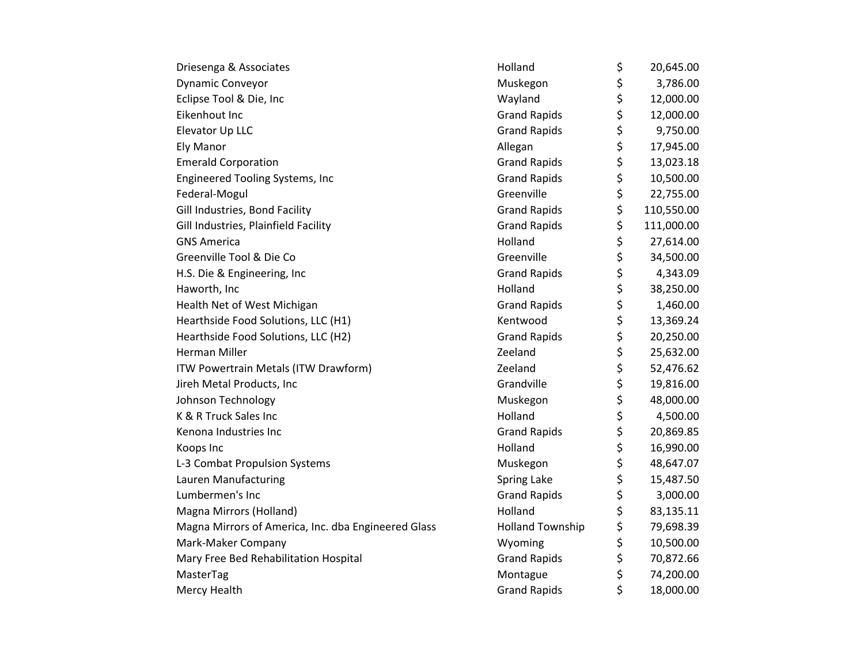| Driesenga & Associates                              | Holland                 | \$<br>20,645.00  |
|-----------------------------------------------------|-------------------------|------------------|
| Dynamic Conveyor                                    | Muskegon                | \$<br>3,786.00   |
| Eclipse Tool & Die, Inc                             | Wayland                 | \$<br>12,000.00  |
| Eikenhout Inc                                       | <b>Grand Rapids</b>     | \$<br>12,000.00  |
| Elevator Up LLC                                     | <b>Grand Rapids</b>     | \$<br>9,750.00   |
| Ely Manor                                           | Allegan                 | \$<br>17,945.00  |
| <b>Emerald Corporation</b>                          | <b>Grand Rapids</b>     | \$<br>13,023.18  |
| <b>Engineered Tooling Systems, Inc</b>              | <b>Grand Rapids</b>     | \$<br>10,500.00  |
| Federal-Mogul                                       | Greenville              | \$<br>22,755.00  |
| Gill Industries, Bond Facility                      | <b>Grand Rapids</b>     | \$<br>110,550.00 |
| Gill Industries, Plainfield Facility                | <b>Grand Rapids</b>     | \$<br>111,000.00 |
| <b>GNS America</b>                                  | Holland                 | \$<br>27,614.00  |
| Greenville Tool & Die Co                            | Greenville              | \$<br>34,500.00  |
| H.S. Die & Engineering, Inc                         | <b>Grand Rapids</b>     | \$<br>4,343.09   |
| Haworth, Inc                                        | Holland                 | \$<br>38,250.00  |
| Health Net of West Michigan                         | <b>Grand Rapids</b>     | \$<br>1,460.00   |
| Hearthside Food Solutions, LLC (H1)                 | Kentwood                | \$<br>13,369.24  |
| Hearthside Food Solutions, LLC (H2)                 | <b>Grand Rapids</b>     | \$<br>20,250.00  |
| <b>Herman Miller</b>                                | Zeeland                 | \$<br>25,632.00  |
| ITW Powertrain Metals (ITW Drawform)                | Zeeland                 | \$<br>52,476.62  |
| Jireh Metal Products, Inc                           | Grandville              | \$<br>19,816.00  |
| Johnson Technology                                  | Muskegon                | \$<br>48,000.00  |
| K & R Truck Sales Inc                               | Holland                 | \$<br>4,500.00   |
| Kenona Industries Inc                               | <b>Grand Rapids</b>     | \$<br>20,869.85  |
| Koops Inc                                           | Holland                 | \$<br>16,990.00  |
| L-3 Combat Propulsion Systems                       | Muskegon                | \$<br>48,647.07  |
| Lauren Manufacturing                                | Spring Lake             | \$<br>15,487.50  |
| Lumbermen's Inc                                     | <b>Grand Rapids</b>     | \$<br>3,000.00   |
| Magna Mirrors (Holland)                             | Holland                 | \$<br>83,135.11  |
| Magna Mirrors of America, Inc. dba Engineered Glass | <b>Holland Township</b> | \$<br>79,698.39  |
| Mark-Maker Company                                  | Wyoming                 | \$<br>10,500.00  |
| Mary Free Bed Rehabilitation Hospital               | <b>Grand Rapids</b>     | \$<br>70,872.66  |
| MasterTag                                           | Montague                | \$<br>74,200.00  |
| Mercy Health                                        | <b>Grand Rapids</b>     | \$<br>18,000.00  |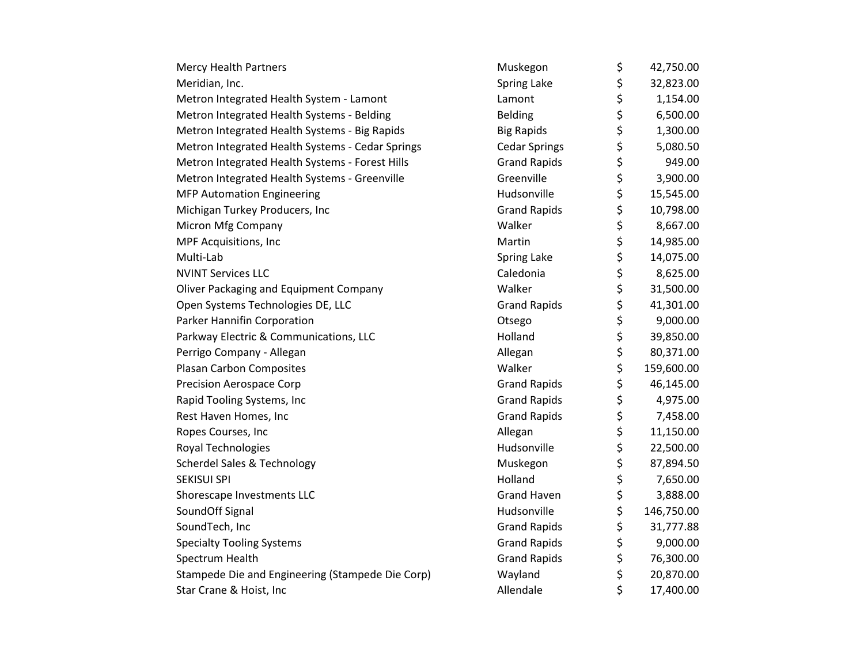| <b>Mercy Health Partners</b>                     | Muskegon             | \$<br>42,750.00  |
|--------------------------------------------------|----------------------|------------------|
| Meridian, Inc.                                   | Spring Lake          | \$<br>32,823.00  |
| Metron Integrated Health System - Lamont         | Lamont               | \$<br>1,154.00   |
| Metron Integrated Health Systems - Belding       | <b>Belding</b>       | \$<br>6,500.00   |
| Metron Integrated Health Systems - Big Rapids    | <b>Big Rapids</b>    | \$<br>1,300.00   |
| Metron Integrated Health Systems - Cedar Springs | <b>Cedar Springs</b> | \$<br>5,080.50   |
| Metron Integrated Health Systems - Forest Hills  | <b>Grand Rapids</b>  | \$<br>949.00     |
| Metron Integrated Health Systems - Greenville    | Greenville           | \$<br>3,900.00   |
| <b>MFP Automation Engineering</b>                | Hudsonville          | \$<br>15,545.00  |
| Michigan Turkey Producers, Inc                   | <b>Grand Rapids</b>  | \$<br>10,798.00  |
| Micron Mfg Company                               | Walker               | \$<br>8,667.00   |
| MPF Acquisitions, Inc                            | Martin               | \$<br>14,985.00  |
| Multi-Lab                                        | Spring Lake          | \$<br>14,075.00  |
| <b>NVINT Services LLC</b>                        | Caledonia            | \$<br>8,625.00   |
| <b>Oliver Packaging and Equipment Company</b>    | Walker               | \$<br>31,500.00  |
| Open Systems Technologies DE, LLC                | <b>Grand Rapids</b>  | \$<br>41,301.00  |
| Parker Hannifin Corporation                      | Otsego               | \$<br>9,000.00   |
| Parkway Electric & Communications, LLC           | Holland              | \$<br>39,850.00  |
| Perrigo Company - Allegan                        | Allegan              | \$<br>80,371.00  |
| Plasan Carbon Composites                         | Walker               | \$<br>159,600.00 |
| <b>Precision Aerospace Corp</b>                  | <b>Grand Rapids</b>  | \$<br>46,145.00  |
| Rapid Tooling Systems, Inc                       | <b>Grand Rapids</b>  | \$<br>4,975.00   |
| Rest Haven Homes, Inc                            | <b>Grand Rapids</b>  | \$<br>7,458.00   |
| Ropes Courses, Inc                               | Allegan              | \$<br>11,150.00  |
| Royal Technologies                               | Hudsonville          | \$<br>22,500.00  |
| <b>Scherdel Sales &amp; Technology</b>           | Muskegon             | \$<br>87,894.50  |
| <b>SEKISUI SPI</b>                               | Holland              | \$<br>7,650.00   |
| Shorescape Investments LLC                       | <b>Grand Haven</b>   | \$<br>3,888.00   |
| SoundOff Signal                                  | Hudsonville          | \$<br>146,750.00 |
| SoundTech, Inc                                   | <b>Grand Rapids</b>  | \$<br>31,777.88  |
| <b>Specialty Tooling Systems</b>                 | <b>Grand Rapids</b>  | \$<br>9,000.00   |
| Spectrum Health                                  | <b>Grand Rapids</b>  | \$<br>76,300.00  |
| Stampede Die and Engineering (Stampede Die Corp) | Wayland              | \$<br>20,870.00  |
| Star Crane & Hoist, Inc                          | Allendale            | \$<br>17,400.00  |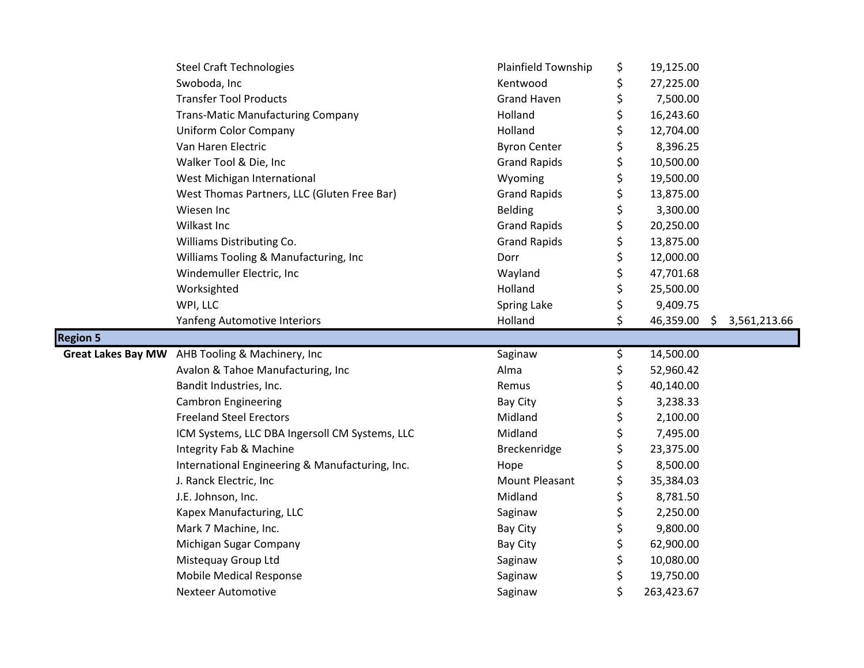|                           | <b>Steel Craft Technologies</b>                 | Plainfield Township   | \$       | 19,125.00 |                    |
|---------------------------|-------------------------------------------------|-----------------------|----------|-----------|--------------------|
|                           | Swoboda, Inc                                    | Kentwood              | \$       | 27,225.00 |                    |
|                           | <b>Transfer Tool Products</b>                   | <b>Grand Haven</b>    | \$       | 7,500.00  |                    |
|                           | <b>Trans-Matic Manufacturing Company</b>        | Holland               | \$       | 16,243.60 |                    |
|                           | Uniform Color Company                           | Holland               | \$       | 12,704.00 |                    |
|                           | Van Haren Electric                              | <b>Byron Center</b>   | \$       | 8,396.25  |                    |
|                           | Walker Tool & Die, Inc                          | <b>Grand Rapids</b>   | \$       | 10,500.00 |                    |
|                           | West Michigan International                     | Wyoming               | \$       | 19,500.00 |                    |
|                           | West Thomas Partners, LLC (Gluten Free Bar)     | <b>Grand Rapids</b>   | \$       | 13,875.00 |                    |
|                           | Wiesen Inc                                      | <b>Belding</b>        | \$       | 3,300.00  |                    |
|                           | Wilkast Inc                                     | <b>Grand Rapids</b>   | \$       | 20,250.00 |                    |
|                           | Williams Distributing Co.                       | <b>Grand Rapids</b>   | \$       | 13,875.00 |                    |
|                           | Williams Tooling & Manufacturing, Inc           | Dorr                  | \$       | 12,000.00 |                    |
|                           | Windemuller Electric, Inc                       | Wayland               | \$       | 47,701.68 |                    |
|                           | Worksighted                                     | Holland               | \$       | 25,500.00 |                    |
|                           | WPI, LLC                                        | <b>Spring Lake</b>    | \$       | 9,409.75  |                    |
|                           | Yanfeng Automotive Interiors                    | Holland               | \$       | 46,359.00 | 3,561,213.66<br>\$ |
| <b>Region 5</b>           |                                                 |                       |          |           |                    |
| <b>Great Lakes Bay MW</b> | AHB Tooling & Machinery, Inc                    | Saginaw               | \$       | 14,500.00 |                    |
|                           | Avalon & Tahoe Manufacturing, Inc               | Alma                  | \$       | 52,960.42 |                    |
|                           | Bandit Industries, Inc.                         | Remus                 | \$       | 40,140.00 |                    |
|                           | <b>Cambron Engineering</b>                      | Bay City              | \$       | 3,238.33  |                    |
|                           | <b>Freeland Steel Erectors</b>                  | Midland               | \$       | 2,100.00  |                    |
|                           |                                                 |                       |          |           |                    |
|                           | ICM Systems, LLC DBA Ingersoll CM Systems, LLC  | Midland               | \$       | 7,495.00  |                    |
|                           | Integrity Fab & Machine                         | Breckenridge          | \$       | 23,375.00 |                    |
|                           | International Engineering & Manufacturing, Inc. | Hope                  | \$       | 8,500.00  |                    |
|                           | J. Ranck Electric, Inc                          | <b>Mount Pleasant</b> | \$       | 35,384.03 |                    |
|                           | J.E. Johnson, Inc.                              | Midland               |          | 8,781.50  |                    |
|                           | Kapex Manufacturing, LLC                        | Saginaw               | \$       | 2,250.00  |                    |
|                           | Mark 7 Machine, Inc.                            | <b>Bay City</b>       | \$<br>\$ | 9,800.00  |                    |
|                           | Michigan Sugar Company                          | <b>Bay City</b>       | \$       | 62,900.00 |                    |
|                           | Mistequay Group Ltd                             | Saginaw               | \$       | 10,080.00 |                    |
|                           | <b>Mobile Medical Response</b>                  | Saginaw               | \$       | 19,750.00 |                    |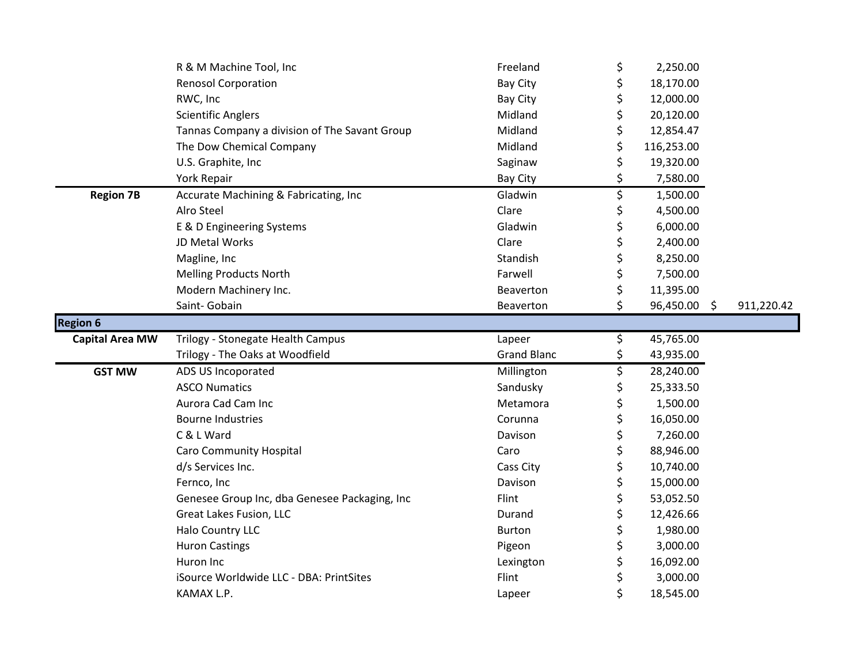|                        | R & M Machine Tool, Inc                       | Freeland           | \$<br>2,250.00     |            |
|------------------------|-----------------------------------------------|--------------------|--------------------|------------|
|                        | <b>Renosol Corporation</b>                    | <b>Bay City</b>    | \$<br>18,170.00    |            |
|                        | RWC, Inc                                      | <b>Bay City</b>    | \$<br>12,000.00    |            |
|                        | <b>Scientific Anglers</b>                     | Midland            | \$<br>20,120.00    |            |
|                        | Tannas Company a division of The Savant Group | Midland            | \$<br>12,854.47    |            |
|                        | The Dow Chemical Company                      | Midland            | \$<br>116,253.00   |            |
|                        | U.S. Graphite, Inc                            | Saginaw            | \$<br>19,320.00    |            |
|                        | York Repair                                   | <b>Bay City</b>    | \$<br>7,580.00     |            |
| <b>Region 7B</b>       | Accurate Machining & Fabricating, Inc         | Gladwin            | \$<br>1,500.00     |            |
|                        | Alro Steel                                    | Clare              | \$<br>4,500.00     |            |
|                        | E & D Engineering Systems                     | Gladwin            | \$<br>6,000.00     |            |
|                        | JD Metal Works                                | Clare              | \$<br>2,400.00     |            |
|                        | Magline, Inc                                  | Standish           | \$<br>8,250.00     |            |
|                        | <b>Melling Products North</b>                 | Farwell            | \$<br>7,500.00     |            |
|                        | Modern Machinery Inc.                         | Beaverton          | \$<br>11,395.00    |            |
|                        | Saint- Gobain                                 | Beaverton          | \$<br>96,450.00 \$ | 911,220.42 |
| <b>Region 6</b>        |                                               |                    |                    |            |
| <b>Capital Area MW</b> | Trilogy - Stonegate Health Campus             | Lapeer             | \$<br>45,765.00    |            |
|                        | Trilogy - The Oaks at Woodfield               | <b>Grand Blanc</b> | \$<br>43,935.00    |            |
| <b>GST MW</b>          | ADS US Incoporated                            | Millington         | \$                 |            |
|                        |                                               |                    | 28,240.00          |            |
|                        | <b>ASCO Numatics</b>                          | Sandusky           | \$<br>25,333.50    |            |
|                        | Aurora Cad Cam Inc                            | Metamora           | \$<br>1,500.00     |            |
|                        | <b>Bourne Industries</b>                      | Corunna            | \$<br>16,050.00    |            |
|                        | C & L Ward                                    | Davison            | \$<br>7,260.00     |            |
|                        | <b>Caro Community Hospital</b>                | Caro               | \$<br>88,946.00    |            |
|                        | d/s Services Inc.                             | Cass City          | \$<br>10,740.00    |            |
|                        | Fernco, Inc                                   | Davison            | \$<br>15,000.00    |            |
|                        | Genesee Group Inc, dba Genesee Packaging, Inc | Flint              | \$<br>53,052.50    |            |
|                        | Great Lakes Fusion, LLC                       | Durand             | \$<br>12,426.66    |            |
|                        | Halo Country LLC                              | <b>Burton</b>      | \$<br>1,980.00     |            |
|                        | <b>Huron Castings</b>                         | Pigeon             | \$<br>3,000.00     |            |
|                        | Huron Inc                                     | Lexington          | \$<br>16,092.00    |            |
|                        | iSource Worldwide LLC - DBA: PrintSites       | Flint              | \$<br>3,000.00     |            |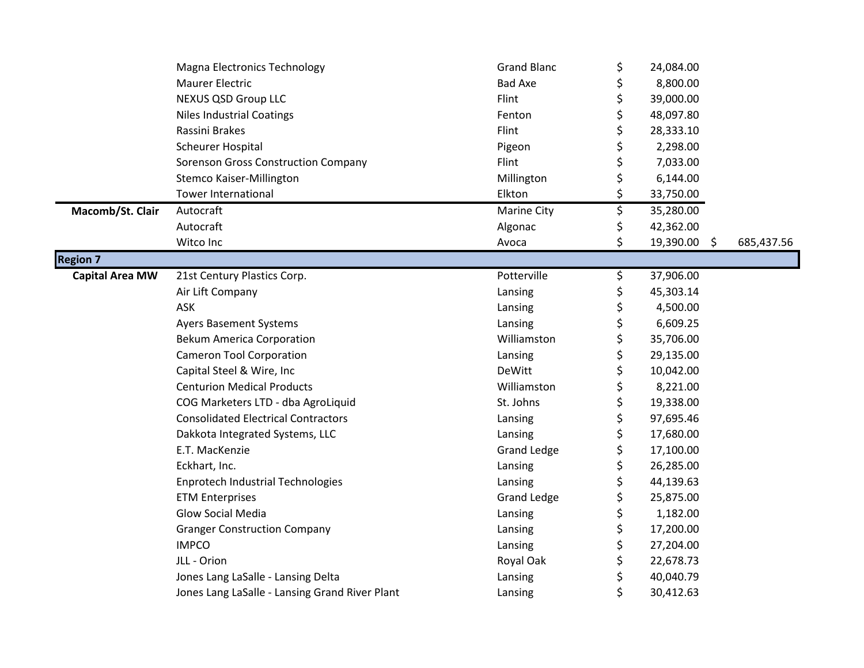|                        | <b>Magna Electronics Technology</b>            | <b>Grand Blanc</b> | \$<br>24,084.00    |            |
|------------------------|------------------------------------------------|--------------------|--------------------|------------|
|                        | <b>Maurer Electric</b>                         | <b>Bad Axe</b>     | \$<br>8,800.00     |            |
|                        | NEXUS QSD Group LLC                            | Flint              | \$<br>39,000.00    |            |
|                        | <b>Niles Industrial Coatings</b>               | Fenton             | \$<br>48,097.80    |            |
|                        | Rassini Brakes                                 | Flint              | \$<br>28,333.10    |            |
|                        | <b>Scheurer Hospital</b>                       | Pigeon             | \$<br>2,298.00     |            |
|                        | <b>Sorenson Gross Construction Company</b>     | Flint              | \$<br>7,033.00     |            |
|                        | Stemco Kaiser-Millington                       | Millington         | \$<br>6,144.00     |            |
|                        | <b>Tower International</b>                     | Elkton             | \$<br>33,750.00    |            |
| Macomb/St. Clair       | Autocraft                                      | Marine City        | \$<br>35,280.00    |            |
|                        | Autocraft                                      | Algonac            | \$<br>42,362.00    |            |
|                        | Witco Inc                                      | Avoca              | \$<br>19,390.00 \$ | 685,437.56 |
| <b>Region 7</b>        |                                                |                    |                    |            |
| <b>Capital Area MW</b> | 21st Century Plastics Corp.                    | Potterville        | \$<br>37,906.00    |            |
|                        | Air Lift Company                               | Lansing            | \$<br>45,303.14    |            |
|                        | ASK                                            | Lansing            | \$<br>4,500.00     |            |
|                        | <b>Ayers Basement Systems</b>                  | Lansing            | \$<br>6,609.25     |            |
|                        | <b>Bekum America Corporation</b>               | Williamston        | \$<br>35,706.00    |            |
|                        | <b>Cameron Tool Corporation</b>                | Lansing            | \$<br>29,135.00    |            |
|                        | Capital Steel & Wire, Inc                      | <b>DeWitt</b>      | \$<br>10,042.00    |            |
|                        | <b>Centurion Medical Products</b>              | Williamston        | \$<br>8,221.00     |            |
|                        | COG Marketers LTD - dba AgroLiquid             | St. Johns          | \$<br>19,338.00    |            |
|                        | <b>Consolidated Electrical Contractors</b>     | Lansing            | \$<br>97,695.46    |            |
|                        | Dakkota Integrated Systems, LLC                | Lansing            | \$<br>17,680.00    |            |
|                        | E.T. MacKenzie                                 | <b>Grand Ledge</b> | \$<br>17,100.00    |            |
|                        | Eckhart, Inc.                                  | Lansing            | \$<br>26,285.00    |            |
|                        | Enprotech Industrial Technologies              | Lansing            | \$<br>44,139.63    |            |
|                        | <b>ETM Enterprises</b>                         | <b>Grand Ledge</b> | \$<br>25,875.00    |            |
|                        | Glow Social Media                              | Lansing            | \$<br>1,182.00     |            |
|                        | <b>Granger Construction Company</b>            | Lansing            | \$<br>17,200.00    |            |
|                        | <b>IMPCO</b>                                   | Lansing            | \$<br>27,204.00    |            |
|                        | JLL - Orion                                    | Royal Oak          | \$<br>22,678.73    |            |
|                        | Jones Lang LaSalle - Lansing Delta             | Lansing            | \$<br>40,040.79    |            |
|                        | Jones Lang LaSalle - Lansing Grand River Plant | Lansing            | \$<br>30,412.63    |            |
|                        |                                                |                    |                    |            |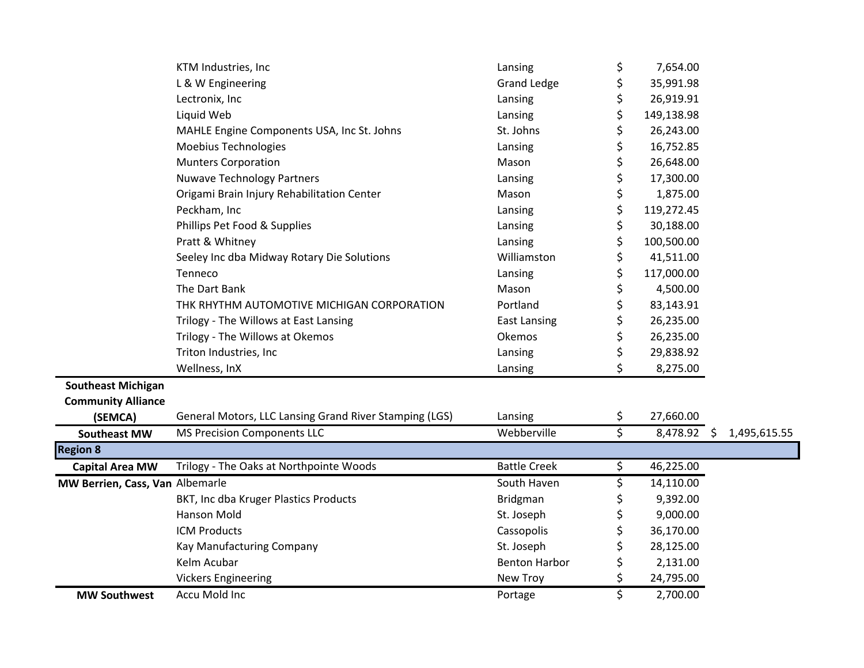|                                 | KTM Industries, Inc                                    | Lansing              | \$ | 7,654.00      |              |
|---------------------------------|--------------------------------------------------------|----------------------|----|---------------|--------------|
|                                 | L & W Engineering                                      | <b>Grand Ledge</b>   | \$ | 35,991.98     |              |
|                                 | Lectronix, Inc                                         | Lansing              | \$ | 26,919.91     |              |
|                                 | Liquid Web                                             | Lansing              | \$ | 149,138.98    |              |
|                                 | MAHLE Engine Components USA, Inc St. Johns             | St. Johns            | \$ | 26,243.00     |              |
|                                 | Moebius Technologies                                   | Lansing              | \$ | 16,752.85     |              |
|                                 | <b>Munters Corporation</b>                             | Mason                | \$ | 26,648.00     |              |
|                                 | <b>Nuwave Technology Partners</b>                      | Lansing              | \$ | 17,300.00     |              |
|                                 | Origami Brain Injury Rehabilitation Center             | Mason                | \$ | 1,875.00      |              |
|                                 | Peckham, Inc                                           | Lansing              | \$ | 119,272.45    |              |
|                                 | Phillips Pet Food & Supplies                           | Lansing              | \$ | 30,188.00     |              |
|                                 | Pratt & Whitney                                        | Lansing              | \$ | 100,500.00    |              |
|                                 | Seeley Inc dba Midway Rotary Die Solutions             | Williamston          | \$ | 41,511.00     |              |
|                                 | Tenneco                                                | Lansing              | \$ | 117,000.00    |              |
|                                 | The Dart Bank                                          | Mason                | \$ | 4,500.00      |              |
|                                 | THK RHYTHM AUTOMOTIVE MICHIGAN CORPORATION             | Portland             | \$ | 83,143.91     |              |
|                                 | Trilogy - The Willows at East Lansing                  | <b>East Lansing</b>  | \$ | 26,235.00     |              |
|                                 | Trilogy - The Willows at Okemos                        | Okemos               | \$ | 26,235.00     |              |
|                                 | Triton Industries, Inc                                 | Lansing              | \$ | 29,838.92     |              |
|                                 | Wellness, InX                                          | Lansing              | \$ | 8,275.00      |              |
| <b>Southeast Michigan</b>       |                                                        |                      |    |               |              |
| <b>Community Alliance</b>       |                                                        |                      |    |               |              |
| (SEMCA)                         | General Motors, LLC Lansing Grand River Stamping (LGS) | Lansing              | \$ | 27,660.00     |              |
| <b>Southeast MW</b>             | <b>MS Precision Components LLC</b>                     | Webberville          | Ś  | $8,478.92$ \$ | 1,495,615.55 |
| <b>Region 8</b>                 |                                                        |                      |    |               |              |
| <b>Capital Area MW</b>          | Trilogy - The Oaks at Northpointe Woods                | <b>Battle Creek</b>  | \$ | 46,225.00     |              |
| MW Berrien, Cass, Van Albemarle |                                                        | South Haven          | \$ | 14,110.00     |              |
|                                 | BKT, Inc dba Kruger Plastics Products                  | Bridgman             | \$ | 9,392.00      |              |
|                                 | Hanson Mold                                            | St. Joseph           | \$ | 9,000.00      |              |
|                                 | <b>ICM Products</b>                                    | Cassopolis           | \$ | 36,170.00     |              |
|                                 | Kay Manufacturing Company                              | St. Joseph           | \$ | 28,125.00     |              |
|                                 | Kelm Acubar                                            | <b>Benton Harbor</b> | \$ | 2,131.00      |              |
|                                 | <b>Vickers Engineering</b>                             | New Troy             | \$ | 24,795.00     |              |
| <b>MW Southwest</b>             | Accu Mold Inc                                          | Portage              | \$ | 2,700.00      |              |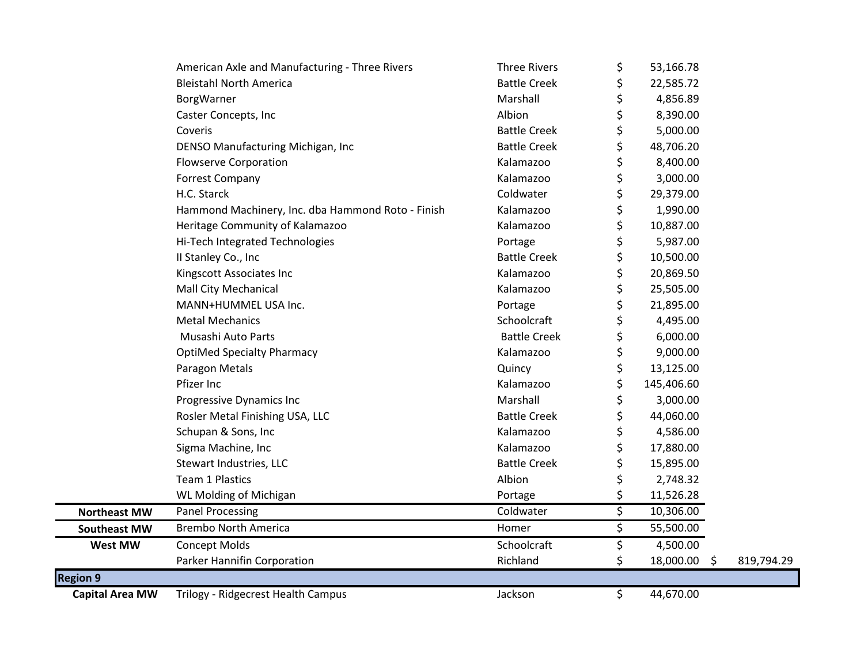|                        | American Axle and Manufacturing - Three Rivers    | <b>Three Rivers</b> | \$ | 53,166.78    |            |  |
|------------------------|---------------------------------------------------|---------------------|----|--------------|------------|--|
|                        | <b>Bleistahl North America</b>                    | <b>Battle Creek</b> | \$ | 22,585.72    |            |  |
|                        | BorgWarner                                        | Marshall            |    | 4,856.89     |            |  |
|                        | Caster Concepts, Inc                              | Albion              |    | 8,390.00     |            |  |
|                        | Coveris                                           | <b>Battle Creek</b> |    | 5,000.00     |            |  |
|                        | DENSO Manufacturing Michigan, Inc                 | <b>Battle Creek</b> | \$ | 48,706.20    |            |  |
|                        | <b>Flowserve Corporation</b>                      | Kalamazoo           |    | 8,400.00     |            |  |
|                        | <b>Forrest Company</b>                            | Kalamazoo           |    | 3,000.00     |            |  |
|                        | H.C. Starck                                       | Coldwater           |    | 29,379.00    |            |  |
|                        | Hammond Machinery, Inc. dba Hammond Roto - Finish | Kalamazoo           |    | 1,990.00     |            |  |
|                        | Heritage Community of Kalamazoo                   | Kalamazoo           | \$ | 10,887.00    |            |  |
|                        | Hi-Tech Integrated Technologies                   | Portage             |    | 5,987.00     |            |  |
|                        | II Stanley Co., Inc                               | <b>Battle Creek</b> |    | 10,500.00    |            |  |
|                        | Kingscott Associates Inc                          | Kalamazoo           |    | 20,869.50    |            |  |
|                        | Mall City Mechanical                              | Kalamazoo           |    | 25,505.00    |            |  |
|                        | MANN+HUMMEL USA Inc.                              | Portage             | \$ | 21,895.00    |            |  |
|                        | <b>Metal Mechanics</b>                            | Schoolcraft         |    | 4,495.00     |            |  |
|                        | Musashi Auto Parts                                | <b>Battle Creek</b> |    | 6,000.00     |            |  |
|                        | <b>OptiMed Specialty Pharmacy</b>                 | Kalamazoo           |    | 9,000.00     |            |  |
|                        | Paragon Metals                                    | Quincy              | \$ | 13,125.00    |            |  |
|                        | Pfizer Inc                                        | Kalamazoo           | \$ | 145,406.60   |            |  |
|                        | Progressive Dynamics Inc                          | Marshall            | \$ | 3,000.00     |            |  |
|                        | Rosler Metal Finishing USA, LLC                   | <b>Battle Creek</b> | \$ | 44,060.00    |            |  |
|                        | Schupan & Sons, Inc                               | Kalamazoo           | Ś  | 4,586.00     |            |  |
|                        | Sigma Machine, Inc                                | Kalamazoo           |    | 17,880.00    |            |  |
|                        | Stewart Industries, LLC                           | <b>Battle Creek</b> |    | 15,895.00    |            |  |
|                        | <b>Team 1 Plastics</b>                            | Albion              | \$ | 2,748.32     |            |  |
|                        | WL Molding of Michigan                            | Portage             | \$ | 11,526.28    |            |  |
| <b>Northeast MW</b>    | Panel Processing                                  | Coldwater           | \$ | 10,306.00    |            |  |
| <b>Southeast MW</b>    | <b>Brembo North America</b>                       | Homer               | \$ | 55,500.00    |            |  |
| <b>West MW</b>         | <b>Concept Molds</b>                              | Schoolcraft         | \$ | 4,500.00     |            |  |
|                        | Parker Hannifin Corporation                       | Richland            | \$ | 18,000.00 \$ | 819,794.29 |  |
| <b>Region 9</b>        |                                                   |                     |    |              |            |  |
| <b>Capital Area MW</b> | Trilogy - Ridgecrest Health Campus                | Jackson             | \$ | 44,670.00    |            |  |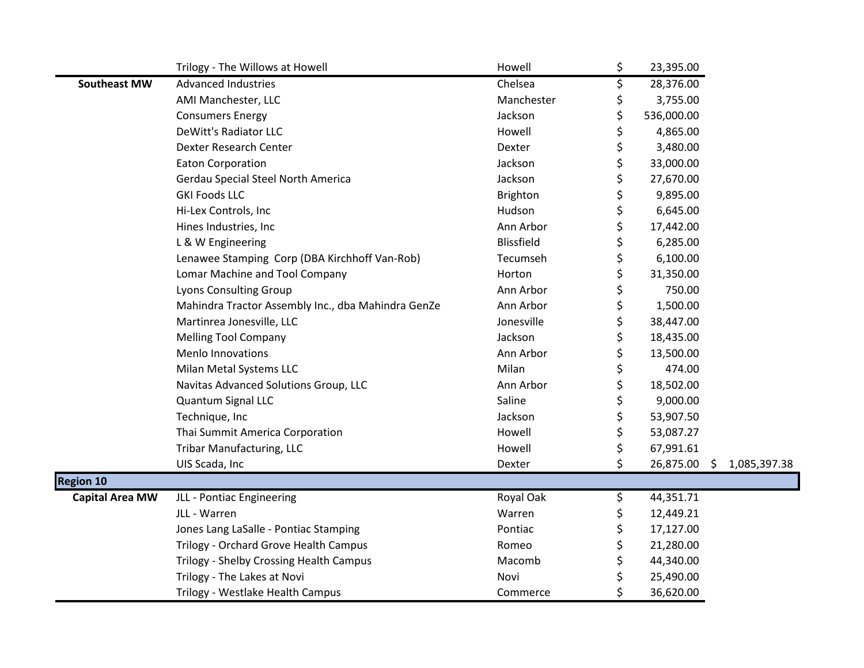|                        | Trilogy - The Willows at Howell                    | Howell            | \$ | 23,395.00    |              |
|------------------------|----------------------------------------------------|-------------------|----|--------------|--------------|
| <b>Southeast MW</b>    | <b>Advanced Industries</b>                         | Chelsea           | \$ | 28,376.00    |              |
|                        | AMI Manchester, LLC                                | Manchester        | \$ | 3,755.00     |              |
|                        | <b>Consumers Energy</b>                            | Jackson           | \$ | 536,000.00   |              |
|                        | DeWitt's Radiator LLC                              | Howell            | \$ | 4,865.00     |              |
|                        | Dexter Research Center                             | Dexter            | \$ | 3,480.00     |              |
|                        | <b>Eaton Corporation</b>                           | Jackson           | \$ | 33,000.00    |              |
|                        | Gerdau Special Steel North America                 | Jackson           | \$ | 27,670.00    |              |
|                        | <b>GKI Foods LLC</b>                               | <b>Brighton</b>   | \$ | 9,895.00     |              |
|                        | Hi-Lex Controls, Inc                               | Hudson            | \$ | 6,645.00     |              |
|                        | Hines Industries, Inc                              | Ann Arbor         | \$ | 17,442.00    |              |
|                        | L & W Engineering                                  | <b>Blissfield</b> | \$ | 6,285.00     |              |
|                        | Lenawee Stamping Corp (DBA Kirchhoff Van-Rob)      | Tecumseh          | \$ | 6,100.00     |              |
|                        | Lomar Machine and Tool Company                     | Horton            | \$ | 31,350.00    |              |
|                        | Lyons Consulting Group                             | Ann Arbor         | \$ | 750.00       |              |
|                        | Mahindra Tractor Assembly Inc., dba Mahindra GenZe | Ann Arbor         | \$ | 1,500.00     |              |
|                        | Martinrea Jonesville, LLC                          | Jonesville        | \$ | 38,447.00    |              |
|                        | <b>Melling Tool Company</b>                        | Jackson           | \$ | 18,435.00    |              |
|                        | Menlo Innovations                                  | Ann Arbor         | \$ | 13,500.00    |              |
|                        | Milan Metal Systems LLC                            | Milan             | \$ | 474.00       |              |
|                        | Navitas Advanced Solutions Group, LLC              | Ann Arbor         | \$ | 18,502.00    |              |
|                        | Quantum Signal LLC                                 | Saline            | \$ | 9,000.00     |              |
|                        | Technique, Inc                                     | Jackson           | \$ | 53,907.50    |              |
|                        | Thai Summit America Corporation                    | Howell            | \$ | 53,087.27    |              |
|                        | <b>Tribar Manufacturing, LLC</b>                   | Howell            | \$ | 67,991.61    |              |
|                        | UIS Scada, Inc                                     | Dexter            | \$ | 26,875.00 \$ | 1,085,397.38 |
| <b>Region 10</b>       |                                                    |                   |    |              |              |
| <b>Capital Area MW</b> | JLL - Pontiac Engineering                          | Royal Oak         | \$ | 44,351.71    |              |
|                        | JLL - Warren                                       | Warren            | \$ | 12,449.21    |              |
|                        | Jones Lang LaSalle - Pontiac Stamping              | Pontiac           | \$ | 17,127.00    |              |
|                        | Trilogy - Orchard Grove Health Campus              | Romeo             | \$ | 21,280.00    |              |
|                        | Trilogy - Shelby Crossing Health Campus            | Macomb            |    | 44,340.00    |              |
|                        | Trilogy - The Lakes at Novi                        | Novi              |    | 25,490.00    |              |
|                        | Trilogy - Westlake Health Campus                   | Commerce          | Ś  | 36,620.00    |              |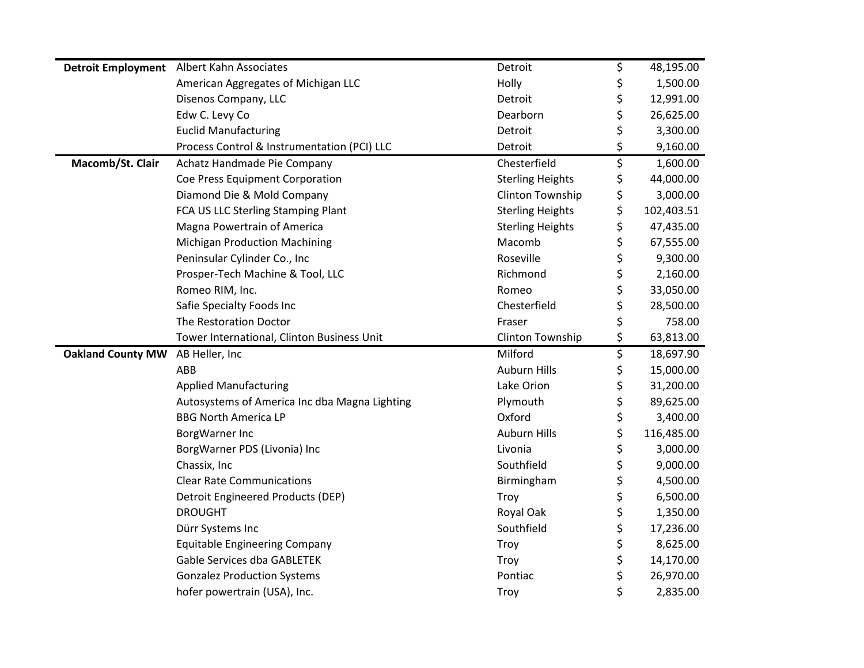|                          | Detroit Employment Albert Kahn Associates     | Detroit                 | \$       | 48,195.00             |
|--------------------------|-----------------------------------------------|-------------------------|----------|-----------------------|
|                          | American Aggregates of Michigan LLC           | Holly                   | \$       | 1,500.00              |
|                          | Disenos Company, LLC                          | Detroit                 | \$       | 12,991.00             |
|                          | Edw C. Levy Co                                | Dearborn                | \$       | 26,625.00             |
|                          | <b>Euclid Manufacturing</b>                   | Detroit                 | \$       | 3,300.00              |
|                          | Process Control & Instrumentation (PCI) LLC   | Detroit                 | \$       | 9,160.00              |
| Macomb/St. Clair         | Achatz Handmade Pie Company                   | Chesterfield            | \$       | 1,600.00              |
|                          | Coe Press Equipment Corporation               | <b>Sterling Heights</b> | \$       | 44,000.00             |
|                          | Diamond Die & Mold Company                    | Clinton Township        | \$       | 3,000.00              |
|                          | FCA US LLC Sterling Stamping Plant            | <b>Sterling Heights</b> | \$       | 102,403.51            |
|                          | Magna Powertrain of America                   | <b>Sterling Heights</b> | \$       | 47,435.00             |
|                          | <b>Michigan Production Machining</b>          | Macomb                  | \$       | 67,555.00             |
|                          | Peninsular Cylinder Co., Inc                  | Roseville               | \$       | 9,300.00              |
|                          | Prosper-Tech Machine & Tool, LLC              | Richmond                | \$       | 2,160.00              |
|                          | Romeo RIM, Inc.                               | Romeo                   | \$       | 33,050.00             |
|                          | Safie Specialty Foods Inc                     | Chesterfield            | \$       | 28,500.00             |
|                          | The Restoration Doctor                        | Fraser                  | \$       | 758.00                |
|                          |                                               |                         |          |                       |
|                          | Tower International, Clinton Business Unit    | Clinton Township        | \$       | 63,813.00             |
| <b>Oakland County MW</b> | AB Heller, Inc                                | Milford                 | \$       | 18,697.90             |
|                          | ABB                                           | <b>Auburn Hills</b>     | \$       | 15,000.00             |
|                          | <b>Applied Manufacturing</b>                  | Lake Orion              | \$       | 31,200.00             |
|                          | Autosystems of America Inc dba Magna Lighting | Plymouth                | \$       | 89,625.00             |
|                          | <b>BBG North America LP</b>                   | Oxford                  | \$       | 3,400.00              |
|                          | BorgWarner Inc                                | <b>Auburn Hills</b>     | \$       | 116,485.00            |
|                          | BorgWarner PDS (Livonia) Inc                  | Livonia                 | \$       | 3,000.00              |
|                          | Chassix, Inc                                  | Southfield              | \$       | 9,000.00              |
|                          | <b>Clear Rate Communications</b>              | Birmingham              | \$       | 4,500.00              |
|                          | Detroit Engineered Products (DEP)             | Troy                    | \$       | 6,500.00              |
|                          | <b>DROUGHT</b>                                | Royal Oak               | \$       | 1,350.00              |
|                          | Dürr Systems Inc                              | Southfield              | \$       | 17,236.00             |
|                          | <b>Equitable Engineering Company</b>          | Troy                    | \$       | 8,625.00              |
|                          | <b>Gable Services dba GABLETEK</b>            | Troy                    | \$       | 14,170.00             |
|                          | <b>Gonzalez Production Systems</b>            | Pontiac<br>Troy         | \$<br>\$ | 26,970.00<br>2,835.00 |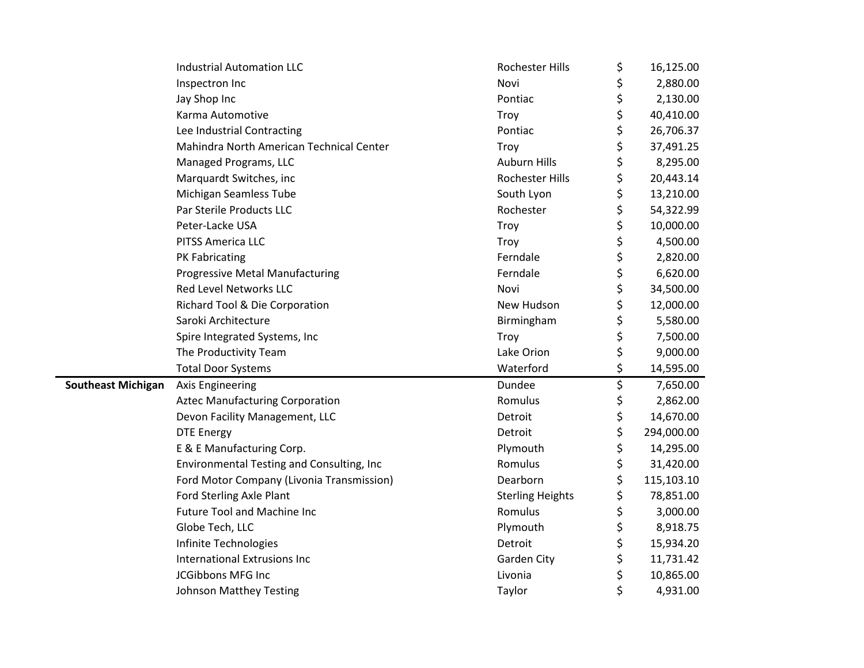|                           | <b>Industrial Automation LLC</b>          | Rochester Hills         | \$<br>16,125.00  |
|---------------------------|-------------------------------------------|-------------------------|------------------|
|                           | Inspectron Inc                            | Novi                    | \$<br>2,880.00   |
|                           | Jay Shop Inc                              | Pontiac                 | \$<br>2,130.00   |
|                           | Karma Automotive                          | Troy                    | \$<br>40,410.00  |
|                           | Lee Industrial Contracting                | Pontiac                 | \$<br>26,706.37  |
|                           | Mahindra North American Technical Center  | Troy                    | \$<br>37,491.25  |
|                           | Managed Programs, LLC                     | <b>Auburn Hills</b>     | \$<br>8,295.00   |
|                           | Marquardt Switches, inc                   | Rochester Hills         | \$<br>20,443.14  |
|                           | Michigan Seamless Tube                    | South Lyon              | \$<br>13,210.00  |
|                           | Par Sterile Products LLC                  | Rochester               | \$<br>54,322.99  |
|                           | Peter-Lacke USA                           | Troy                    | \$<br>10,000.00  |
|                           | PITSS America LLC                         | Troy                    | \$<br>4,500.00   |
|                           | PK Fabricating                            | Ferndale                | \$<br>2,820.00   |
|                           | <b>Progressive Metal Manufacturing</b>    | Ferndale                | \$<br>6,620.00   |
|                           | <b>Red Level Networks LLC</b>             | Novi                    | \$<br>34,500.00  |
|                           | Richard Tool & Die Corporation            | New Hudson              | \$<br>12,000.00  |
|                           | Saroki Architecture                       | Birmingham              | \$<br>5,580.00   |
|                           | Spire Integrated Systems, Inc             | Troy                    | \$<br>7,500.00   |
|                           | The Productivity Team                     | Lake Orion              | \$<br>9,000.00   |
|                           | <b>Total Door Systems</b>                 | Waterford               | \$<br>14,595.00  |
| <b>Southeast Michigan</b> | <b>Axis Engineering</b>                   | Dundee                  | \$<br>7,650.00   |
|                           | <b>Aztec Manufacturing Corporation</b>    | Romulus                 | \$<br>2,862.00   |
|                           | Devon Facility Management, LLC            | Detroit                 | \$<br>14,670.00  |
|                           | <b>DTE Energy</b>                         | Detroit                 | \$<br>294,000.00 |
|                           | E & E Manufacturing Corp.                 | Plymouth                | \$<br>14,295.00  |
|                           | Environmental Testing and Consulting, Inc | Romulus                 | \$<br>31,420.00  |
|                           | Ford Motor Company (Livonia Transmission) | Dearborn                | \$<br>115,103.10 |
|                           | <b>Ford Sterling Axle Plant</b>           | <b>Sterling Heights</b> | \$<br>78,851.00  |
|                           | <b>Future Tool and Machine Inc</b>        | Romulus                 | \$<br>3,000.00   |
|                           | Globe Tech, LLC                           | Plymouth                | \$<br>8,918.75   |
|                           | Infinite Technologies                     | Detroit                 | \$<br>15,934.20  |
|                           | <b>International Extrusions Inc</b>       | <b>Garden City</b>      | \$<br>11,731.42  |
|                           | JCGibbons MFG Inc                         | Livonia                 | \$<br>10,865.00  |
|                           | Johnson Matthey Testing                   | Taylor                  | \$<br>4,931.00   |
|                           |                                           |                         |                  |